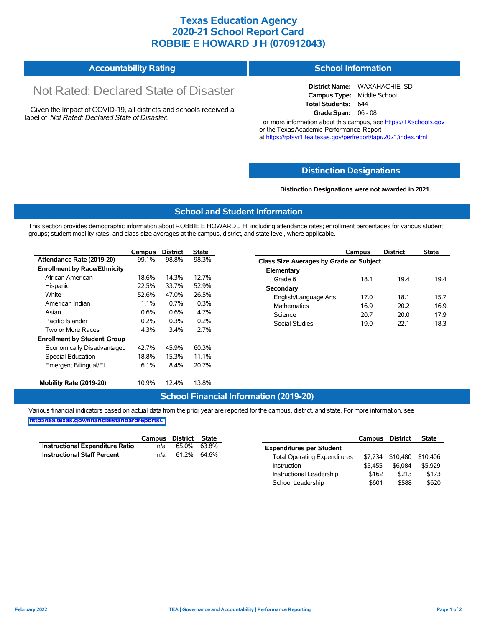## **Texas Education Agency 2020-21 School Report Card ROBBIE E HOWARD J H (070912043)**

#### **Accountability Rating School Information**

# Not Rated: Declared State of Disaster

Given the Impact of COVID-19, all districts and schools received a label of *Not Rated: Declared State of Disaster.*

**District Name:** WAXAHACHIE ISD **Campus Type:** Middle School **Total Students:** 644 **Grade Span:** 06 - 08

For more information about this campus, see https://TXschools.gov or the Texas Academic Performance Report at https://rptsvr1.tea.texas.gov/perfreport/tapr/2021/index.html

#### **Distinction Designat[ions](https://TXschools.gov)**

**Distinction Designations were not awarded in 2021.**

School Leadership  $$601$  \$588 \$620

#### **School and Student Information**

This section provides demographic information about ROBBIE E HOWARD J H, including attendance rates; enrollment percentages for various student groups; student mobility rates; and class size averages at the campus, district, and state level, where applicable.

|                                     | Campus                                                                                         | <b>District</b> | <b>State</b> | Campus                 | <b>District</b>                         | <b>State</b> |  |  |  |  |  |
|-------------------------------------|------------------------------------------------------------------------------------------------|-----------------|--------------|------------------------|-----------------------------------------|--------------|--|--|--|--|--|
| Attendance Rate (2019-20)           | 99.1%                                                                                          | 98.8%           | 98.3%        |                        | Class Size Averages by Grade or Subject |              |  |  |  |  |  |
| <b>Enrollment by Race/Ethnicity</b> |                                                                                                |                 |              | Elementary             |                                         |              |  |  |  |  |  |
| African American                    | 18.6%                                                                                          | 14.3%           | 12.7%        | 18.1<br>Grade 6        | 19.4                                    | 19.4         |  |  |  |  |  |
| Hispanic                            | 22.5%                                                                                          | 33.7%           | 52.9%        | Secondary              |                                         |              |  |  |  |  |  |
| White                               | 52.6%<br>47.0%<br>26.5%<br>English/Language Arts<br>1.1%<br>0.3%<br>0.7%<br><b>Mathematics</b> |                 |              |                        | 17.0<br>18.1                            | 15.7         |  |  |  |  |  |
| American Indian                     |                                                                                                |                 |              |                        | 16.9<br>20.2                            | 16.9         |  |  |  |  |  |
| Asian                               | 0.6%<br>4.7%<br>0.6%<br>Science                                                                |                 |              | 20.7                   | 20.0                                    | 17.9         |  |  |  |  |  |
| Pacific Islander                    | 0.2%                                                                                           | 0.3%            | 0.2%         | Social Studies<br>19.0 | 22.1                                    | 18.3         |  |  |  |  |  |
| Two or More Races                   | 4.3%                                                                                           | 3.4%            | 2.7%         |                        |                                         |              |  |  |  |  |  |
| <b>Enrollment by Student Group</b>  |                                                                                                |                 |              |                        |                                         |              |  |  |  |  |  |
| Economically Disadvantaged          | 42.7%                                                                                          | 45.9%           | 60.3%        |                        |                                         |              |  |  |  |  |  |
| Special Education                   | 18.8%                                                                                          | 15.3%           | 11.1%        |                        |                                         |              |  |  |  |  |  |
| Emergent Bilingual/EL               | 6.1%                                                                                           | 8.4%            | 20.7%        |                        |                                         |              |  |  |  |  |  |
|                                     |                                                                                                |                 |              |                        |                                         |              |  |  |  |  |  |
| Mobility Rate (2019-20)             | 10.9%                                                                                          | 12.4%           | 13.8%        |                        |                                         |              |  |  |  |  |  |

#### **School Financial Information (2019-20)**

Various financial indicators based on actual data from the prior year are reported for the campus, district, and state. For more information, see

**[http://tea.texas.gov/financialstandardreports/.](http://tea.texas.gov/financialstandardreports/)**

|                                        | Campus | District | <b>State</b> |                                     | Campus  | <b>District</b>  | <b>State</b> |
|----------------------------------------|--------|----------|--------------|-------------------------------------|---------|------------------|--------------|
| <b>Instructional Expenditure Ratio</b> | n/a    | 65.0%    | 63.8%        | <b>Expenditures per Student</b>     |         |                  |              |
| <b>Instructional Staff Percent</b>     | n/a    | 61.2%    | 64.6%        | <b>Total Operating Expenditures</b> |         | \$7.734 \$10.480 | \$10,406     |
|                                        |        |          |              | Instruction                         | \$5.455 | \$6.084          | \$5,929      |
|                                        |        |          |              | Instructional Leadership            | \$162   | \$213            | \$173        |